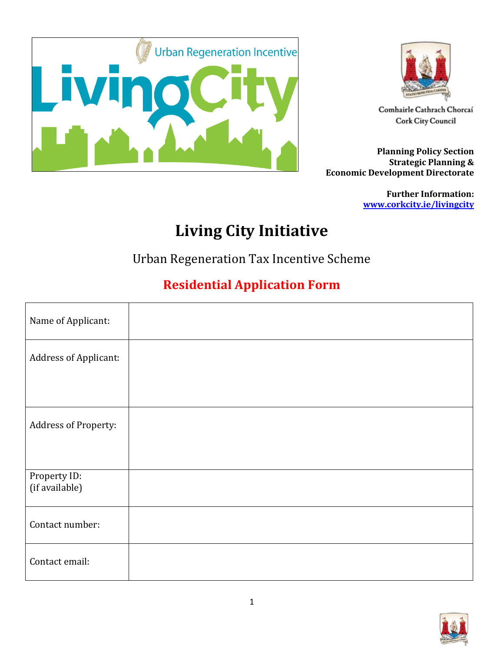



Comhairle Cathrach Chorcaí **Cork City Council** 

**Planning Policy Section Strategic Planning & Economic Development Directorate**

> **Further Information: [www.corkcity.ie/livingcity](http://www.corkcity.ie/livingcity)**

## **Living City Initiative**

Urban Regeneration Tax Incentive Scheme

## **Residential Application Form**

| Name of Applicant:             |  |
|--------------------------------|--|
| Address of Applicant:          |  |
|                                |  |
| Address of Property:           |  |
|                                |  |
| Property ID:<br>(if available) |  |
| Contact number:                |  |
| Contact email:                 |  |

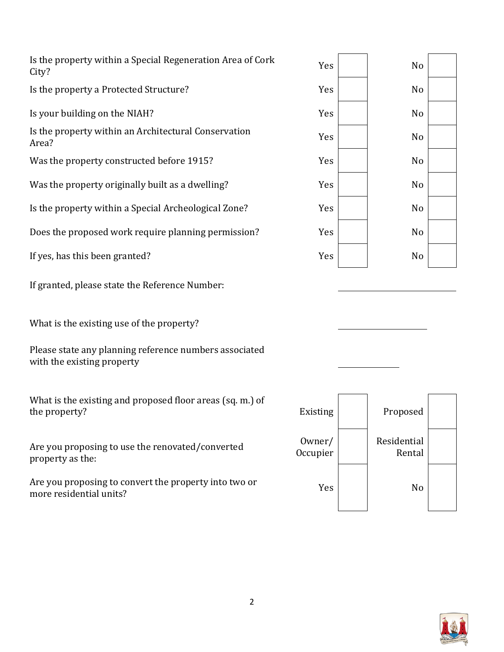| Is the property within a Special Regeneration Area of Cork<br>City? | Yes | No |
|---------------------------------------------------------------------|-----|----|
| Is the property a Protected Structure?                              | Yes | No |
| Is your building on the NIAH?                                       | Yes | No |
| Is the property within an Architectural Conservation<br>Area?       | Yes | No |
| Was the property constructed before 1915?                           | Yes | No |
| Was the property originally built as a dwelling?                    | Yes | No |
| Is the property within a Special Archeological Zone?                | Yes | No |
| Does the proposed work require planning permission?                 | Yes | No |
| If yes, has this been granted?                                      | Yes | No |
|                                                                     |     |    |

If granted, please state the Reference Number:

What is the existing use of the property?

Please state any planning reference numbers associated with the existing property

What is the existing and proposed floor areas (sq. m.) of the property? Existing Proposed

Are you proposing to use the renovated/converted property as the:

Are you proposing to convert the property into two or Are you proposing to convert the property into two or  $Yes$  No  $Yes$  No  $Xes$ 





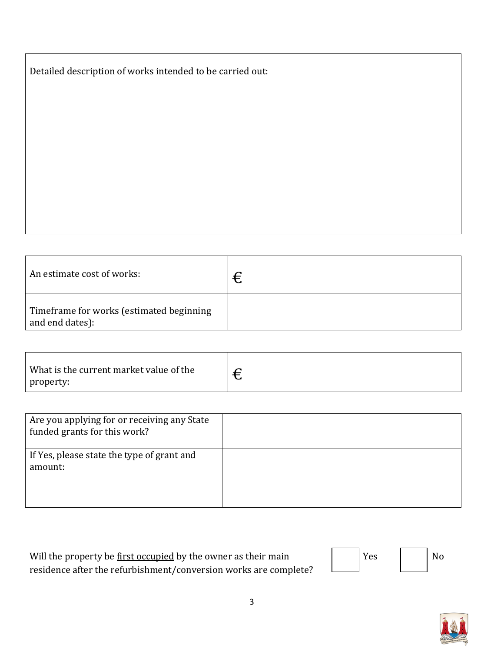| Detailed description of works intended to be carried out: |  |  |  |
|-----------------------------------------------------------|--|--|--|
|                                                           |  |  |  |

| An estimate cost of works:                                  | € |
|-------------------------------------------------------------|---|
| Timeframe for works (estimated beginning<br>and end dates): |   |

| What is the current market value of the | ⌒ |
|-----------------------------------------|---|
| property:                               | ◡ |

| Are you applying for or receiving any State<br>funded grants for this work? |  |
|-----------------------------------------------------------------------------|--|
| If Yes, please state the type of grant and<br>amount:                       |  |

| Will the property be <u>first occupied</u> by the owner as their main | 'Yes | <b>No</b> |
|-----------------------------------------------------------------------|------|-----------|
| residence after the refurbishment/conversion works are complete?      |      |           |

| Yes |  | No |
|-----|--|----|
|-----|--|----|